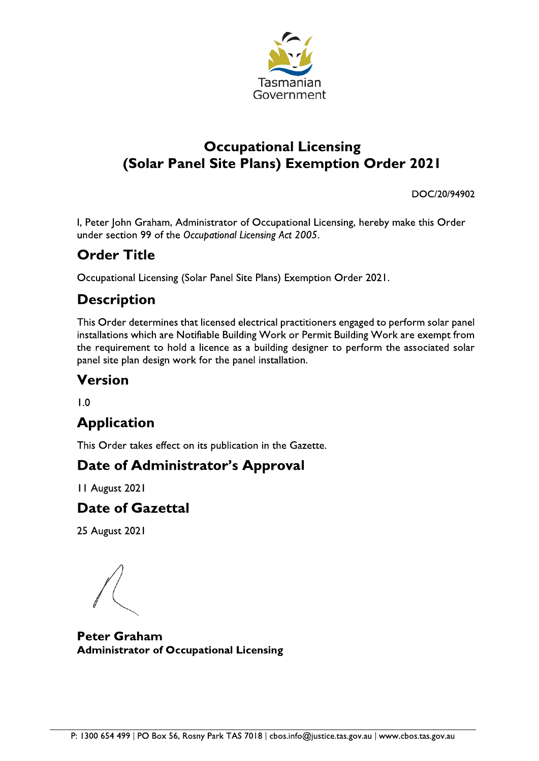

### **Occupational Licensing** (Solar Panel Site Plans) Exemption Order 2021

DOC/20/94902

I, Peter John Graham, Administrator of Occupational Licensing, hereby make this Order under section 99 of the Occupational Licensing Act 2005.

## **Order Title**

Occupational Licensing (Solar Panel Site Plans) Exemption Order 2021.

## **Description**

This Order determines that licensed electrical practitioners engaged to perform solar panel installations which are Notifiable Building Work or Permit Building Work are exempt from the requirement to hold a licence as a building designer to perform the associated solar panel site plan design work for the panel installation.

## **Version**

 $\overline{1}$  0

# **Application**

This Order takes effect on its publication in the Gazette.

## **Date of Administrator's Approval**

11 August 2021

### **Date of Gazettal**

**25 August 2021** 

**Peter Graham Administrator of Occupational Licensing**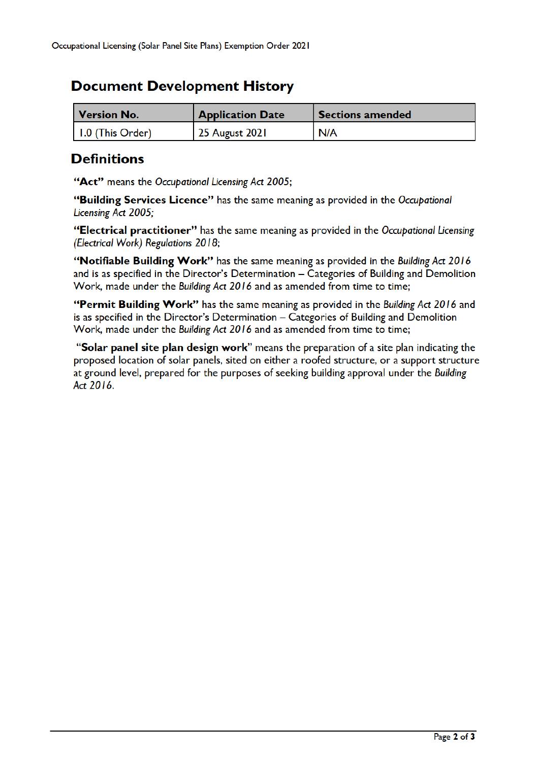#### **Document Development History**

| Version No.      | <b>Application Date</b> | Sections amended |
|------------------|-------------------------|------------------|
| I.0 (This Order) | 25 August 2021          | N/A              |

### **Definitions**

"Act" means the Occupational Licensing Act 2005;

"Building Services Licence" has the same meaning as provided in the Occupational Licensing Act 2005;

"Electrical practitioner" has the same meaning as provided in the Occupational Licensing (Electrical Work) Regulations 2018;

"Notifiable Building Work" has the same meaning as provided in the Building Act 2016 and is as specified in the Director's Determination - Categories of Building and Demolition Work, made under the Building Act 2016 and as amended from time to time;

"Permit Building Work" has the same meaning as provided in the Building Act 2016 and is as specified in the Director's Determination - Categories of Building and Demolition Work, made under the Building Act 2016 and as amended from time to time;

"Solar panel site plan design work" means the preparation of a site plan indicating the proposed location of solar panels, sited on either a roofed structure, or a support structure at ground level, prepared for the purposes of seeking building approval under the Building Act 2016.